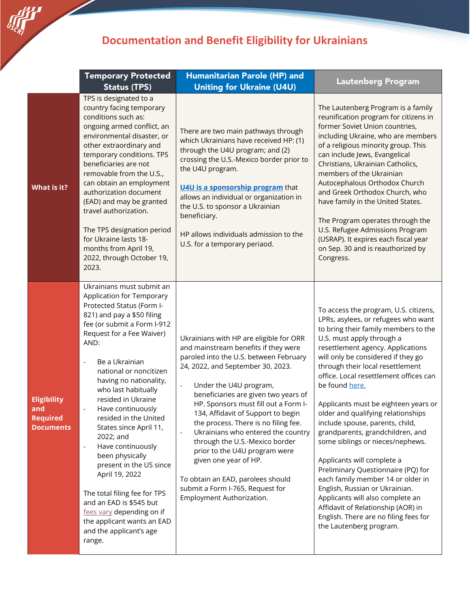## **Documentation and Benefit Eligibility for Ukrainians**

**server** 

|                                                                  | <b>Temporary Protected</b><br><b>Status (TPS)</b>                                                                                                                                                                                                                                                                                                                                                                                                                                                                                                                                                                                                                               | <b>Humanitarian Parole (HP) and</b><br><b>Uniting for Ukraine (U4U)</b>                                                                                                                                                                                                                                                                                                                                                                                                                                                                                                                                                    | <b>Lautenberg Program</b>                                                                                                                                                                                                                                                                                                                                                                                                                                                                                                                                                                                                                                                                                                                                                                                      |
|------------------------------------------------------------------|---------------------------------------------------------------------------------------------------------------------------------------------------------------------------------------------------------------------------------------------------------------------------------------------------------------------------------------------------------------------------------------------------------------------------------------------------------------------------------------------------------------------------------------------------------------------------------------------------------------------------------------------------------------------------------|----------------------------------------------------------------------------------------------------------------------------------------------------------------------------------------------------------------------------------------------------------------------------------------------------------------------------------------------------------------------------------------------------------------------------------------------------------------------------------------------------------------------------------------------------------------------------------------------------------------------------|----------------------------------------------------------------------------------------------------------------------------------------------------------------------------------------------------------------------------------------------------------------------------------------------------------------------------------------------------------------------------------------------------------------------------------------------------------------------------------------------------------------------------------------------------------------------------------------------------------------------------------------------------------------------------------------------------------------------------------------------------------------------------------------------------------------|
| What is it?                                                      | TPS is designated to a<br>country facing temporary<br>conditions such as:<br>ongoing armed conflict, an<br>environmental disaster, or<br>other extraordinary and<br>temporary conditions. TPS<br>beneficiaries are not<br>removable from the U.S.,<br>can obtain an employment<br>authorization document<br>(EAD) and may be granted<br>travel authorization.<br>The TPS designation period<br>for Ukraine lasts 18-<br>months from April 19,<br>2022, through October 19,<br>2023.                                                                                                                                                                                             | There are two main pathways through<br>which Ukrainians have received HP: (1)<br>through the U4U program; and (2)<br>crossing the U.S.-Mexico border prior to<br>the U4U program.<br>U4U is a sponsorship program that<br>allows an individual or organization in<br>the U.S. to sponsor a Ukrainian<br>beneficiary.<br>HP allows individuals admission to the<br>U.S. for a temporary periaod.                                                                                                                                                                                                                            | The Lautenberg Program is a family<br>reunification program for citizens in<br>former Soviet Union countries,<br>including Ukraine, who are members<br>of a religious minority group. This<br>can include Jews, Evangelical<br>Christians, Ukrainian Catholics,<br>members of the Ukrainian<br>Autocephalous Orthodox Church<br>and Greek Orthodox Church, who<br>have family in the United States.<br>The Program operates through the<br>U.S. Refugee Admissions Program<br>(USRAP). It expires each fiscal year<br>on Sep. 30 and is reauthorized by<br>Congress.                                                                                                                                                                                                                                           |
| <b>Eligibility</b><br>and<br><b>Required</b><br><b>Documents</b> | Ukrainians must submit an<br>Application for Temporary<br>Protected Status (Form I-<br>821) and pay a \$50 filing<br>fee (or submit a Form I-912<br>Request for a Fee Waiver)<br>AND:<br>Be a Ukrainian<br>÷,<br>national or noncitizen<br>having no nationality,<br>who last habitually<br>resided in Ukraine<br>Have continuously<br>resided in the United<br>States since April 11,<br>2022; and<br>Have continuously<br>$\overline{\phantom{a}}$<br>been physically<br>present in the US since<br>April 19, 2022<br>The total filing fee for TPS<br>and an EAD is \$545 but<br>fees vary depending on if<br>the applicant wants an EAD<br>and the applicant's age<br>range. | Ukrainians with HP are eligible for ORR<br>and mainstream benefits if they were<br>paroled into the U.S. between February<br>24, 2022, and September 30, 2023.<br>Under the U4U program,<br>$\blacksquare$<br>beneficiaries are given two years of<br>HP. Sponsors must fill out a Form I-<br>134, Affidavit of Support to begin<br>the process. There is no filing fee.<br>Ukrainians who entered the country<br>$\Box$<br>through the U.S.-Mexico border<br>prior to the U4U program were<br>given one year of HP.<br>To obtain an EAD, parolees should<br>submit a Form I-765, Request for<br>Employment Authorization. | To access the program, U.S. citizens,<br>LPRs, asylees, or refugees who want<br>to bring their family members to the<br>U.S. must apply through a<br>resettlement agency. Applications<br>will only be considered if they go<br>through their local resettlement<br>office. Local resettlement offices can<br>be found here.<br>Applicants must be eighteen years or<br>older and qualifying relationships<br>include spouse, parents, child,<br>grandparents, grandchildren, and<br>some siblings or nieces/nephews.<br>Applicants will complete a<br>Preliminary Questionnaire (PQ) for<br>each family member 14 or older in<br>English, Russian or Ukrainian.<br>Applicants will also complete an<br>Affidavit of Relationship (AOR) in<br>English. There are no filing fees for<br>the Lautenberg program. |